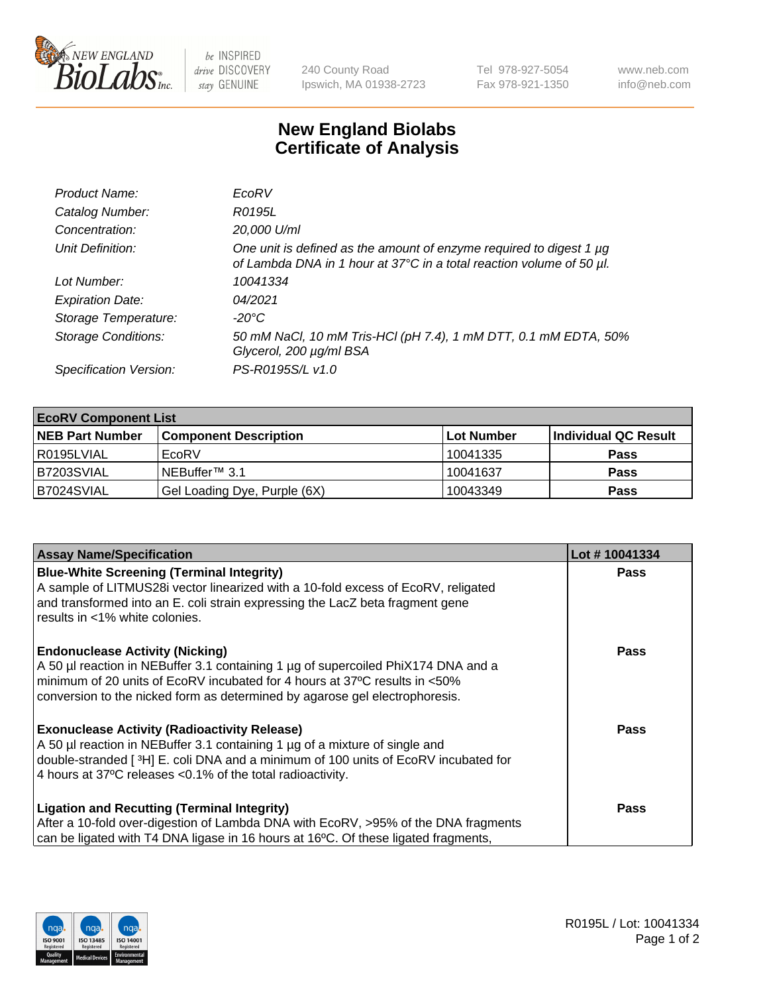

 $be$  INSPIRED drive DISCOVERY stay GENUINE

240 County Road Ipswich, MA 01938-2723 Tel 978-927-5054 Fax 978-921-1350 www.neb.com info@neb.com

## **New England Biolabs Certificate of Analysis**

| Product Name:              | EcoRV                                                                                                                                       |
|----------------------------|---------------------------------------------------------------------------------------------------------------------------------------------|
| Catalog Number:            | R0195L                                                                                                                                      |
| Concentration:             | 20,000 U/ml                                                                                                                                 |
| Unit Definition:           | One unit is defined as the amount of enzyme required to digest 1 µg<br>of Lambda DNA in 1 hour at 37°C in a total reaction volume of 50 µl. |
| Lot Number:                | 10041334                                                                                                                                    |
| <b>Expiration Date:</b>    | 04/2021                                                                                                                                     |
| Storage Temperature:       | $-20^{\circ}$ C                                                                                                                             |
| <b>Storage Conditions:</b> | 50 mM NaCl, 10 mM Tris-HCl (pH 7.4), 1 mM DTT, 0.1 mM EDTA, 50%<br>Glycerol, 200 µg/ml BSA                                                  |
| Specification Version:     | PS-R0195S/L v1.0                                                                                                                            |

| <b>EcoRV Component List</b> |                              |                   |                      |  |  |
|-----------------------------|------------------------------|-------------------|----------------------|--|--|
| <b>NEB Part Number</b>      | <b>Component Description</b> | <b>Lot Number</b> | Individual QC Result |  |  |
| l R0195LVIAL                | EcoRV                        | 10041335          | <b>Pass</b>          |  |  |
| B7203SVIAL                  | INEBuffer™ 3.1               | 10041637          | <b>Pass</b>          |  |  |
| B7024SVIAL                  | Gel Loading Dye, Purple (6X) | 10043349          | <b>Pass</b>          |  |  |

| <b>Assay Name/Specification</b>                                                                                                                                 | Lot #10041334 |
|-----------------------------------------------------------------------------------------------------------------------------------------------------------------|---------------|
| <b>Blue-White Screening (Terminal Integrity)</b><br>A sample of LITMUS28i vector linearized with a 10-fold excess of EcoRV, religated                           | <b>Pass</b>   |
| and transformed into an E. coli strain expressing the LacZ beta fragment gene<br>results in <1% white colonies.                                                 |               |
| <b>Endonuclease Activity (Nicking)</b>                                                                                                                          | Pass          |
| A 50 µl reaction in NEBuffer 3.1 containing 1 µg of supercoiled PhiX174 DNA and a<br>minimum of 20 units of EcoRV incubated for 4 hours at 37°C results in <50% |               |
| conversion to the nicked form as determined by agarose gel electrophoresis.                                                                                     |               |
| <b>Exonuclease Activity (Radioactivity Release)</b>                                                                                                             | Pass          |
| A 50 µl reaction in NEBuffer 3.1 containing 1 µg of a mixture of single and                                                                                     |               |
| double-stranded [ <sup>3</sup> H] E. coli DNA and a minimum of 100 units of EcoRV incubated for                                                                 |               |
| 4 hours at 37°C releases < 0.1% of the total radioactivity.                                                                                                     |               |
| <b>Ligation and Recutting (Terminal Integrity)</b>                                                                                                              | <b>Pass</b>   |
| After a 10-fold over-digestion of Lambda DNA with EcoRV, >95% of the DNA fragments                                                                              |               |
| can be ligated with T4 DNA ligase in 16 hours at 16 $\degree$ C. Of these ligated fragments,                                                                    |               |